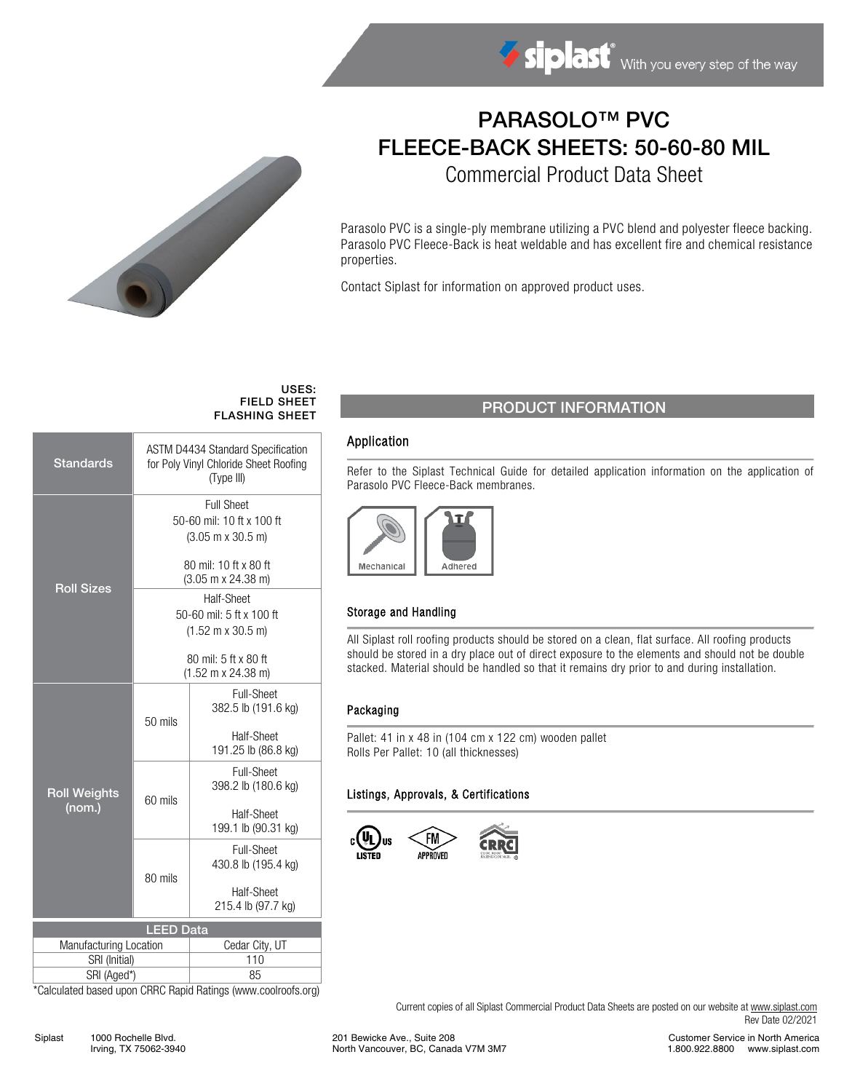

# PARASOLO™ PVC FLEECE-BACK SHEETS: 50-60-80 MIL

Commercial Product Data Sheet

Parasolo PVC is a single-ply membrane utilizing a PVC blend and polyester fleece backing. Parasolo PVC Fleece-Back is heat weldable and has excellent fire and chemical resistance properties.

Contact Siplast for information on approved product uses.

#### USES: FIELD SHEET FLASHING SHEET

| <b>Standards</b>              | <b>ASTM D4434 Standard Specification</b><br>for Poly Vinyl Chloride Sheet Roofing<br>(Type III) |                                   |  |  |  |
|-------------------------------|-------------------------------------------------------------------------------------------------|-----------------------------------|--|--|--|
| <b>Roll Sizes</b>             | <b>Full Sheet</b>                                                                               |                                   |  |  |  |
|                               | 50-60 mil: 10 ft x 100 ft                                                                       |                                   |  |  |  |
|                               | $(3.05 \text{ m} \times 30.5 \text{ m})$                                                        |                                   |  |  |  |
|                               | 80 mil: 10 ft x 80 ft                                                                           |                                   |  |  |  |
|                               | $(3.05 \text{ m} \times 24.38 \text{ m})$                                                       |                                   |  |  |  |
|                               | Half-Sheet                                                                                      |                                   |  |  |  |
|                               | 50-60 mil: 5 ft x 100 ft                                                                        |                                   |  |  |  |
|                               | $(1.52 \text{ m} \times 30.5 \text{ m})$                                                        |                                   |  |  |  |
|                               |                                                                                                 |                                   |  |  |  |
|                               | 80 mil: 5 ft x 80 ft<br>$(1.52 \text{ m} \times 24.38 \text{ m})$                               |                                   |  |  |  |
| <b>Roll Weights</b><br>(nom.) |                                                                                                 | Full-Sheet                        |  |  |  |
|                               |                                                                                                 | 382.5 lb (191.6 kg)               |  |  |  |
|                               | $50$ mils                                                                                       |                                   |  |  |  |
|                               |                                                                                                 | Half-Sheet<br>191.25 lb (86.8 kg) |  |  |  |
|                               |                                                                                                 | Full-Sheet                        |  |  |  |
|                               |                                                                                                 | 398.2 lb (180.6 kg)               |  |  |  |
|                               | 60 mils                                                                                         |                                   |  |  |  |
|                               |                                                                                                 | Half-Sheet                        |  |  |  |
|                               |                                                                                                 | 199.1 lb (90.31 kg)               |  |  |  |
|                               |                                                                                                 | <b>Full-Sheet</b>                 |  |  |  |
|                               | 80 mils                                                                                         | 430.8 lb (195.4 kg)               |  |  |  |
|                               |                                                                                                 | Half-Sheet                        |  |  |  |
|                               |                                                                                                 | 215.4 lb (97.7 kg)                |  |  |  |
|                               | <b>LEED Data</b>                                                                                |                                   |  |  |  |
| Manufacturing Location        |                                                                                                 | Cedar City, UT                    |  |  |  |
| SRI (Initial)                 |                                                                                                 | 110                               |  |  |  |
| SRI (Aged*)                   |                                                                                                 | 85                                |  |  |  |
|                               |                                                                                                 |                                   |  |  |  |

\*Calculated based upon CRRC Rapid Ratings (www.coolroofs.org)

## PRODUCT INFORMATION

### Application

Refer to the Siplast Technical Guide for detailed application information on the application of Parasolo PVC Fleece-Back membranes.



#### Storage and Handling

All Siplast roll roofing products should be stored on a clean, flat surface. All roofing products should be stored in a dry place out of direct exposure to the elements and should not be double stacked. Material should be handled so that it remains dry prior to and during installation.

#### Packaging

Pallet: 41 in x 48 in (104 cm x 122 cm) wooden pallet Rolls Per Pallet: 10 (all thicknesses)

#### Listings, Approvals, & Certifications



Current copies of all Siplast Commercial Product Data Sheets are posted on our website a[t www.siplast.com](http://www.siplast.com/) Rev Date 02/2021

Customer Service in North America 1.800.922.8800 www.siplast.com